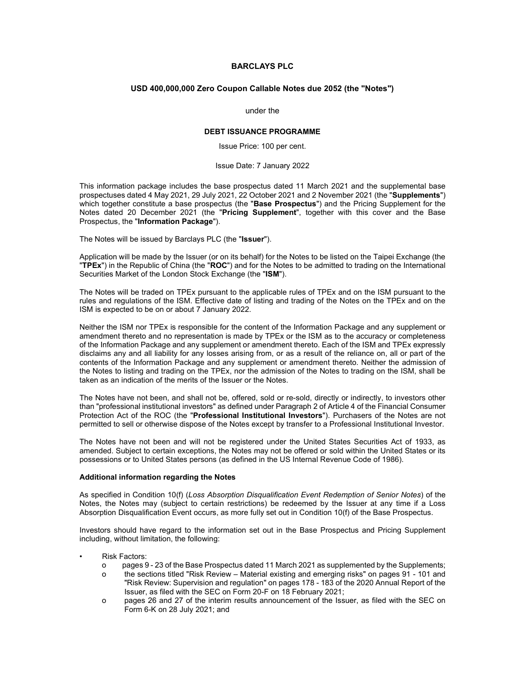# BARCLAYS PLC

### USD 400,000,000 Zero Coupon Callable Notes due 2052 (the "Notes")

#### under the

## DEBT ISSUANCE PROGRAMME

Issue Price: 100 per cent.

#### Issue Date: 7 January 2022

This information package includes the base prospectus dated 11 March 2021 and the supplemental base prospectuses dated 4 May 2021, 29 July 2021, 22 October 2021 and 2 November 2021 (the "Supplements") which together constitute a base prospectus (the "Base Prospectus") and the Pricing Supplement for the Notes dated 20 December 2021 (the "Pricing Supplement", together with this cover and the Base Prospectus, the "Information Package").

The Notes will be issued by Barclays PLC (the "Issuer").

Application will be made by the Issuer (or on its behalf) for the Notes to be listed on the Taipei Exchange (the "TPEx") in the Republic of China (the "ROC") and for the Notes to be admitted to trading on the International Securities Market of the London Stock Exchange (the "ISM").

The Notes will be traded on TPEx pursuant to the applicable rules of TPEx and on the ISM pursuant to the rules and regulations of the ISM. Effective date of listing and trading of the Notes on the TPEx and on the ISM is expected to be on or about 7 January 2022.

Neither the ISM nor TPEx is responsible for the content of the Information Package and any supplement or amendment thereto and no representation is made by TPEx or the ISM as to the accuracy or completeness of the Information Package and any supplement or amendment thereto. Each of the ISM and TPEx expressly disclaims any and all liability for any losses arising from, or as a result of the reliance on, all or part of the contents of the Information Package and any supplement or amendment thereto. Neither the admission of the Notes to listing and trading on the TPEx, nor the admission of the Notes to trading on the ISM, shall be taken as an indication of the merits of the Issuer or the Notes.

The Notes have not been, and shall not be, offered, sold or re-sold, directly or indirectly, to investors other than "professional institutional investors" as defined under Paragraph 2 of Article 4 of the Financial Consumer Protection Act of the ROC (the "Professional Institutional Investors"). Purchasers of the Notes are not permitted to sell or otherwise dispose of the Notes except by transfer to a Professional Institutional Investor.

The Notes have not been and will not be registered under the United States Securities Act of 1933, as amended. Subject to certain exceptions, the Notes may not be offered or sold within the United States or its possessions or to United States persons (as defined in the US Internal Revenue Code of 1986).

# Additional information regarding the Notes

As specified in Condition 10(f) (Loss Absorption Disqualification Event Redemption of Senior Notes) of the Notes, the Notes may (subject to certain restrictions) be redeemed by the Issuer at any time if a Loss Absorption Disqualification Event occurs, as more fully set out in Condition 10(f) of the Base Prospectus.

Investors should have regard to the information set out in the Base Prospectus and Pricing Supplement including, without limitation, the following:

- **Risk Factors:** 
	- o pages 9 23 of the Base Prospectus dated 11 March 2021 as supplemented by the Supplements;
	- o the sections titled "Risk Review Material existing and emerging risks" on pages 91 101 and "Risk Review: Supervision and regulation" on pages 178 - 183 of the 2020 Annual Report of the Issuer, as filed with the SEC on Form 20-F on 18 February 2021;
	- o pages 26 and 27 of the interim results announcement of the Issuer, as filed with the SEC on Form 6-K on 28 July 2021; and